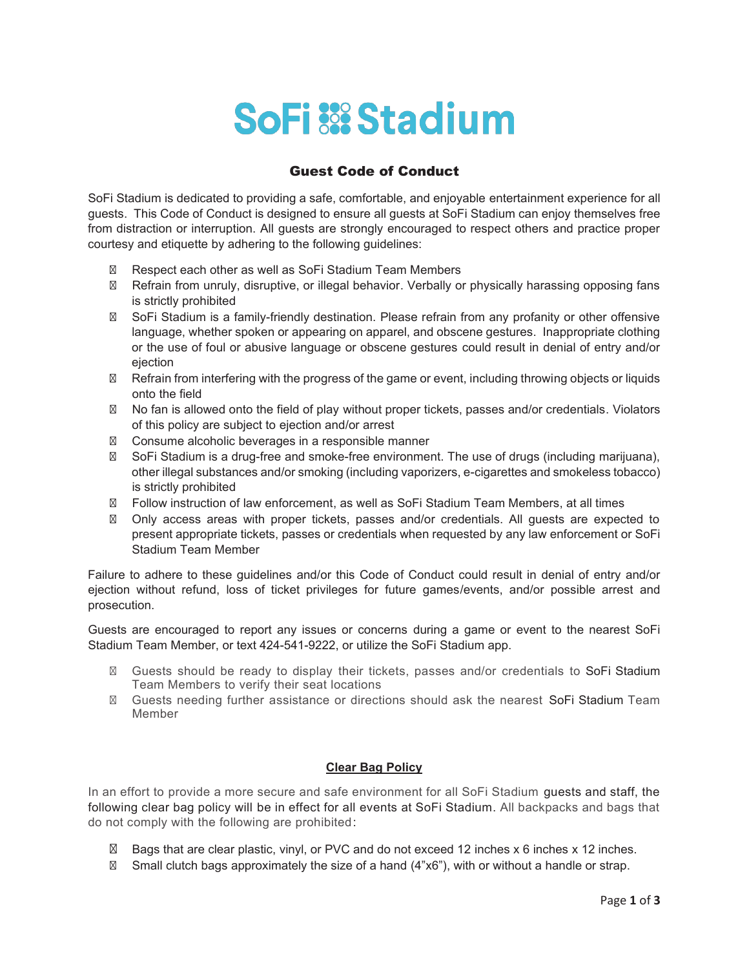## **SoFi & Stadium**

## Guest Code of Conduct

SoFi Stadium is dedicated to providing a safe, comfortable, and enjoyable entertainment experience for all guests. This Code of Conduct is designed to ensure all guests at SoFi Stadium can enjoy themselves free from distraction or interruption. All guests are strongly encouraged to respect others and practice proper courtesy and etiquette by adhering to the following guidelines:

Respect each other as well as SoFi Stadium Team Members

Refrain from unruly, disruptive, or illegal behavior. Verbally or physically harassing opposing fans is strictly prohibited

SoFi Stadium is a family-friendly destination. Please refrain from any profanity or other offensive language, whether spoken or appearing on apparel, and obscene gestures. Inappropriate clothing or the use of foul or abusive language or obscene gestures could result in denial of entry and/or ejection

Refrain from interfering with the progress of the game or event, including throwing objects or liquids onto the field

No fan is allowed onto the field of play without proper tickets, passes and/or credentials. Violators of this policy are subject to ejection and/or arrest

Consume alcoholic beverages in a responsible manner

SoFi Stadium is a drug-free and smoke-free environment. The use of drugs (including marijuana), other illegal substances and/or smoking (including vaporizers, e-cigarettes and smokeless tobacco) is strictly prohibited

Follow instruction of law enforcement, as well as SoFi Stadium Team Members, at all times

Only access areas with proper tickets, passes and/or credentials. All guests are expected to present appropriate tickets, passes or credentials when requested by any law enforcement or SoFi Stadium Team Member

Failure to adhere to these guidelines and/or this Code of Conduct could result in denial of entry and/or ejection without refund, loss of ticket privileges for future games/events, and/or possible arrest and prosecution.

Guests are encouraged to report any issues or concerns during a game or event to the nearest SoFi Stadium Team Member, or text 424-541-9222, or utilize the SoFi Stadium app.

Guests should be ready to display their tickets, passes and/or credentials to SoFi Stadium Team Members to verify their seat locations

Guests needing further assistance or directions should ask the nearest SoFi Stadium Team Member

## **Clear Bag Policy**

In an effort to provide a more secure and safe environment for all SoFi Stadium guests and staff, the following clear bag policy will be in effect for all events at SoFi Stadium. All backpacks and bags that do not comply with the following are prohibited:

Bags that are clear plastic, vinyl, or PVC and do not exceed 12 inches x 6 inches x 12 inches. Small clutch bags approximately the size of a hand (4"x6"), with or without a handle or strap.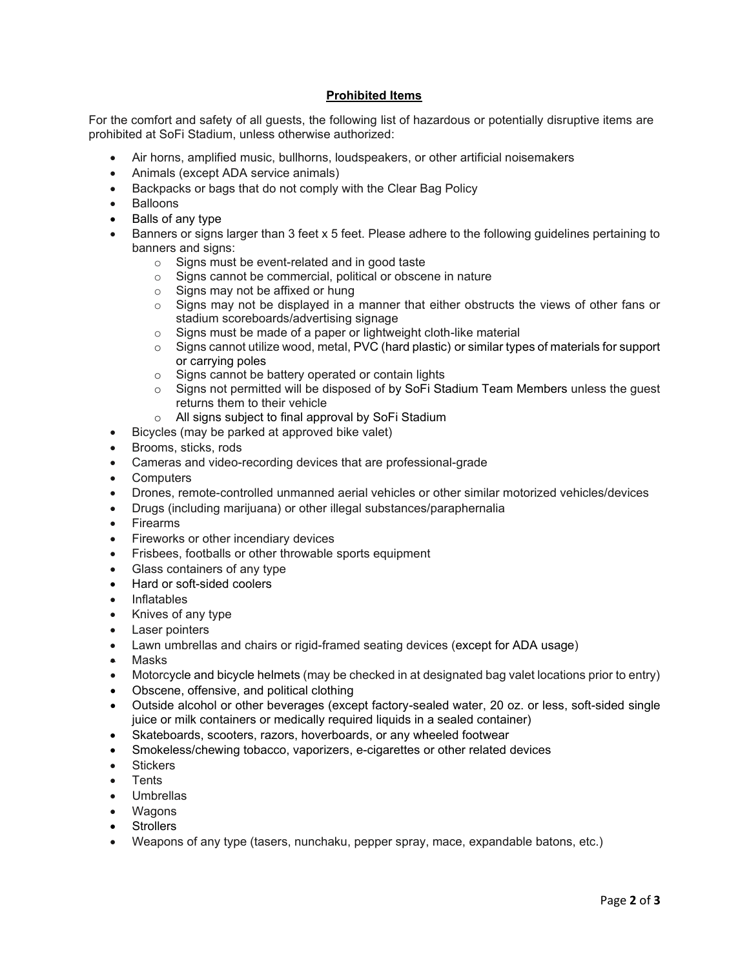## **Prohibited Items**

For the comfort and safety of all guests, the following list of hazardous or potentially disruptive items are prohibited at SoFi Stadium, unless otherwise authorized:

- Air horns, amplified music, bullhorns, loudspeakers, or other artificial noisemakers
- Animals (except ADA service animals)
- Backpacks or bags that do not comply with the Clear Bag Policy
- Balloons
- Balls of any type
- Banners or signs larger than 3 feet x 5 feet. Please adhere to the following guidelines pertaining to banners and signs:
	- $\circ$  Signs must be event-related and in good taste  $\circ$  Signs cannot be commercial, political or obscel
	- Signs cannot be commercial, political or obscene in nature
	- o Signs may not be affixed or hung
	- $\circ$  Signs may not be displayed in a manner that either obstructs the views of other fans or stadium scoreboards/advertising signage
	- o Signs must be made of a paper or lightweight cloth-like material
	- $\circ$  Signs cannot utilize wood, metal, PVC (hard plastic) or similar types of materials for support or carrying poles
	- o Signs cannot be battery operated or contain lights
	- $\circ$  Signs not permitted will be disposed of by SoFi Stadium Team Members unless the guest returns them to their vehicle
	- o All signs subject to final approval by SoFi Stadium
- Bicycles (may be parked at approved bike valet)
- Brooms, sticks, rods
- Cameras and video-recording devices that are professional-grade
- **Computers**
- Drones, remote-controlled unmanned aerial vehicles or other similar motorized vehicles/devices
- Drugs (including marijuana) or other illegal substances/paraphernalia
- Firearms
- Fireworks or other incendiary devices
- Frisbees, footballs or other throwable sports equipment
- Glass containers of any type
- Hard or soft-sided coolers
- Inflatables
- Knives of any type
- Laser pointers
- Lawn umbrellas and chairs or rigid-framed seating devices (except for ADA usage)
- Masks
- Motorcycle and bicycle helmets (may be checked in at designated bag valet locations prior to entry)
- Obscene, offensive, and political clothing
- Outside alcohol or other beverages (except factory-sealed water, 20 oz. or less, soft-sided single juice or milk containers or medically required liquids in a sealed container)
- Skateboards, scooters, razors, hoverboards, or any wheeled footwear
- Smokeless/chewing tobacco, vaporizers, e-cigarettes or other related devices
- Stickers
- Tents
- Umbrellas
- Wagons
- **Strollers**
- Weapons of any type (tasers, nunchaku, pepper spray, mace, expandable batons, etc.)